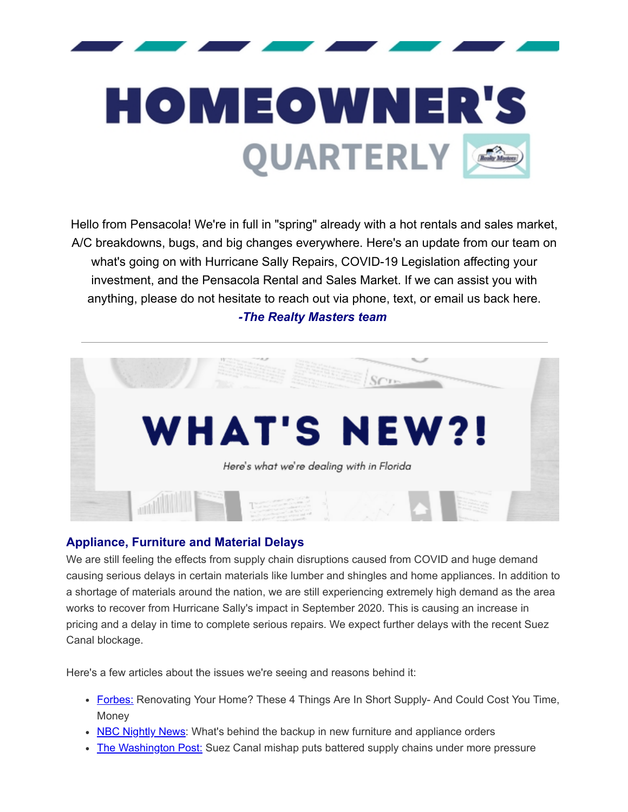



Hello from Pensacola! We're in full in "spring" already with a hot rentals and sales market, A/C breakdowns, bugs, and big changes everywhere. Here's an update from our team on what's going on with Hurricane Sally Repairs, COVID-19 Legislation affecting your investment, and the Pensacola Rental and Sales Market. If we can assist you with anything, please do not hesitate to reach out via phone, text, or email us back here. *-The Realty Masters team*



#### **Appliance, Furniture and Material Delays**

We are still feeling the effects from supply chain disruptions caused from COVID and huge demand causing serious delays in certain materials like lumber and shingles and home appliances. In addition to a shortage of materials around the nation, we are still experiencing extremely high demand as the area works to recover from Hurricane Sally's impact in September 2020. This is causing an increase in pricing and a delay in time to complete serious repairs. We expect further delays with the recent Suez Canal blockage.

Here's a few articles about the issues we're seeing and reasons behind it:

- [Forbes:](https://www.forbes.com/advisor/mortgages/home-renovation-supply-chain-problems/) Renovating Your Home? These 4 Things Are In Short Supply- And Could Cost You Time, Money
- NBC [Nightly News:](https://www.nbcnews.com/nightly-news/video/what-s-behind-the-backup-in-new-furniture-and-appliance-orders-109199941667) What's behind the backup in new furniture and appliance orders
- [The Washington Post:](https://www.washingtonpost.com/us-policy/2021/03/27/suez-canal-economy/) Suez Canal mishap puts battered supply chains under more pressure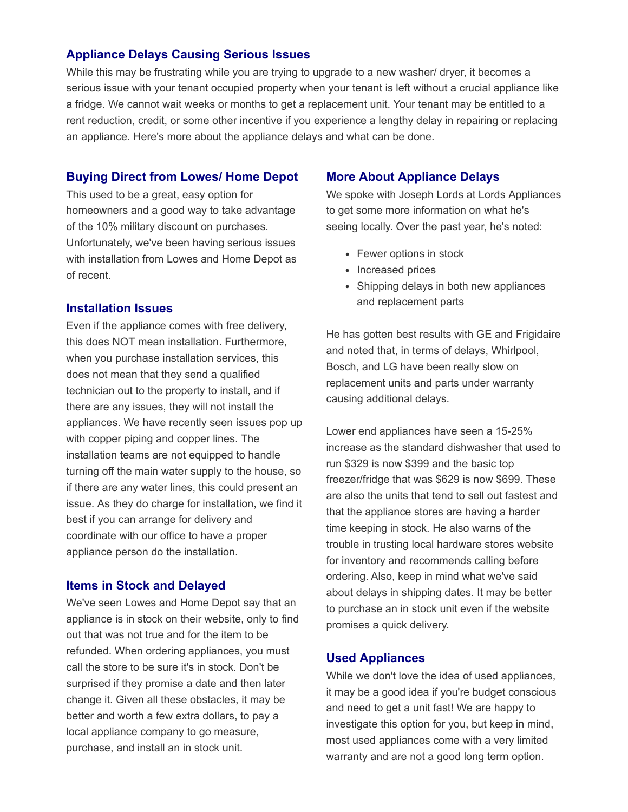#### **Appliance Delays Causing Serious Issues**

While this may be frustrating while you are trying to upgrade to a new washer/ dryer, it becomes a serious issue with your tenant occupied property when your tenant is left without a crucial appliance like a fridge. We cannot wait weeks or months to get a replacement unit. Your tenant may be entitled to a rent reduction, credit, or some other incentive if you experience a lengthy delay in repairing or replacing an appliance. Here's more about the appliance delays and what can be done.

#### **Buying Direct from Lowes/ Home Depot**

This used to be a great, easy option for homeowners and a good way to take advantage of the 10% military discount on purchases. Unfortunately, we've been having serious issues with installation from Lowes and Home Depot as of recent.

#### **Installation Issues**

Even if the appliance comes with free delivery, this does NOT mean installation. Furthermore, when you purchase installation services, this does not mean that they send a qualified technician out to the property to install, and if there are any issues, they will not install the appliances. We have recently seen issues pop up with copper piping and copper lines. The installation teams are not equipped to handle turning off the main water supply to the house, so if there are any water lines, this could present an issue. As they do charge for installation, we find it best if you can arrange for delivery and coordinate with our office to have a proper appliance person do the installation.

#### **Items in Stock and Delayed**

We've seen Lowes and Home Depot say that an appliance is in stock on their website, only to find out that was not true and for the item to be refunded. When ordering appliances, you must call the store to be sure it's in stock. Don't be surprised if they promise a date and then later change it. Given all these obstacles, it may be better and worth a few extra dollars, to pay a local appliance company to go measure, purchase, and install an in stock unit.

#### **More About Appliance Delays**

We spoke with Joseph Lords at Lords Appliances to get some more information on what he's seeing locally. Over the past year, he's noted:

- Fewer options in stock
- Increased prices
- Shipping delays in both new appliances and replacement parts

He has gotten best results with GE and Frigidaire and noted that, in terms of delays, Whirlpool, Bosch, and LG have been really slow on replacement units and parts under warranty causing additional delays.

Lower end appliances have seen a 15-25% increase as the standard dishwasher that used to run \$329 is now \$399 and the basic top freezer/fridge that was \$629 is now \$699. These are also the units that tend to sell out fastest and that the appliance stores are having a harder time keeping in stock. He also warns of the trouble in trusting local hardware stores website for inventory and recommends calling before ordering. Also, keep in mind what we've said about delays in shipping dates. It may be better to purchase an in stock unit even if the website promises a quick delivery.

#### **Used Appliances**

While we don't love the idea of used appliances, it may be a good idea if you're budget conscious and need to get a unit fast! We are happy to investigate this option for you, but keep in mind, most used appliances come with a very limited warranty and are not a good long term option.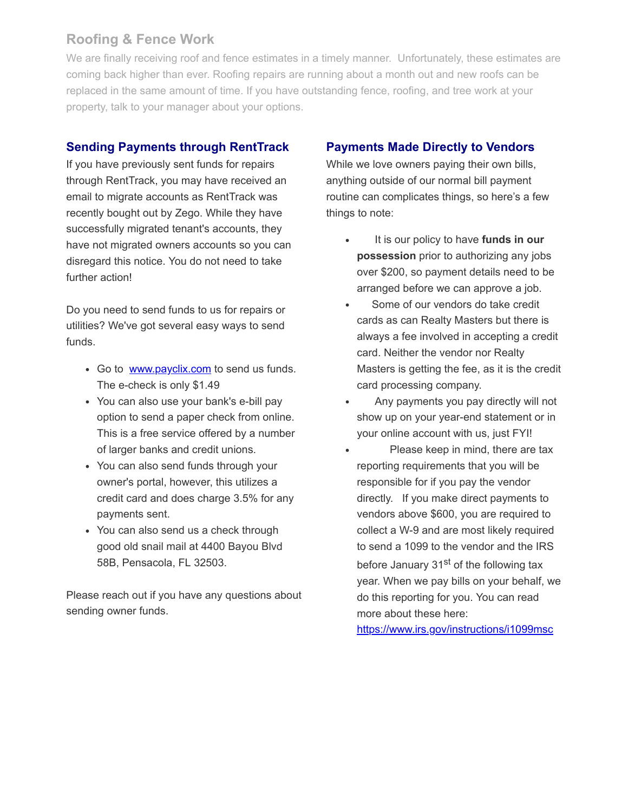# **Roofing & Fence Work**

We are finally receiving roof and fence estimates in a timely manner. Unfortunately, these estimates are coming back higher than ever. Roofing repairs are running about a month out and new roofs can be replaced in the same amount of time. If you have outstanding fence, roofing, and tree work at your property, talk to your manager about your options.

### **Sending Payments through RentTrack**

If you have previously sent funds for repairs through RentTrack, you may have received an email to migrate accounts as RentTrack was recently bought out by Zego. While they have successfully migrated tenant's accounts, they have not migrated owners accounts so you can disregard this notice. You do not need to take further action!

Do you need to send funds to us for repairs or utilities? We've got several easy ways to send funds.

- Go to [www.payclix.com](http://www.payclix.com/) to send us funds. The e-check is only \$1.49
- You can also use your bank's e-bill pay option to send a paper check from online. This is a free service offered by a number of larger banks and credit unions.
- You can also send funds through your owner's portal, however, this utilizes a credit card and does charge 3.5% for any payments sent.
- You can also send us a check through good old snail mail at 4400 Bayou Blvd 58B, Pensacola, FL 32503.

Please reach out if you have any questions about sending owner funds.

### **Payments Made Directly to Vendors**

While we love owners paying their own bills, anything outside of our normal bill payment routine can complicates things, so here's a few things to note:

- It is our policy to have **funds in our possession** prior to authorizing any jobs over \$200, so payment details need to be arranged before we can approve a job.
- Some of our vendors do take credit cards as can Realty Masters but there is always a fee involved in accepting a credit card. Neither the vendor nor Realty Masters is getting the fee, as it is the credit card processing company.
- Any payments you pay directly will not show up on your year-end statement or in your online account with us, just FYI!
- $\bullet$  Please keep in mind, there are tax reporting requirements that you will be responsible for if you pay the vendor directly. If you make direct payments to vendors above \$600, you are required to collect a W-9 and are most likely required to send a 1099 to the vendor and the IRS before January 31<sup>st</sup> of the following tax year. When we pay bills on your behalf, we do this reporting for you. You can read more about these here:

<https://www.irs.gov/instructions/i1099msc>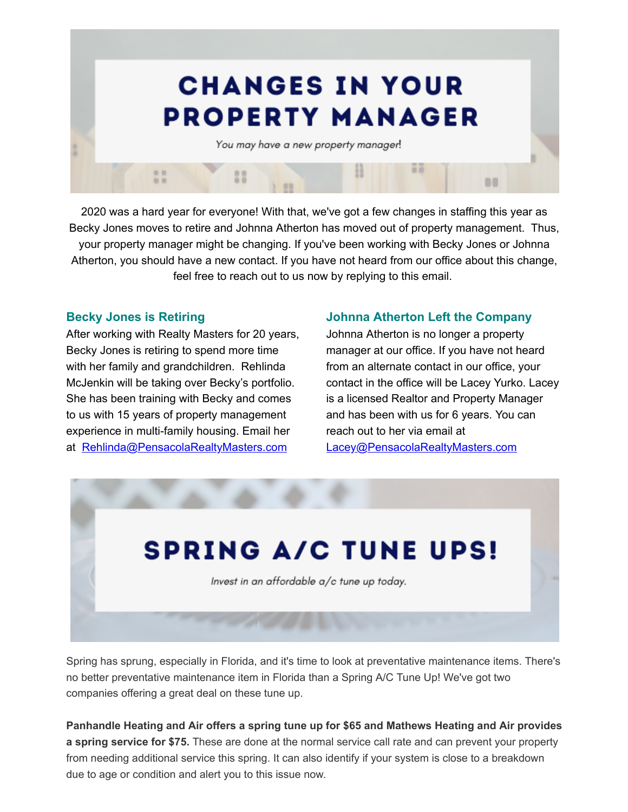# **CHANGES IN YOUR PROPERTY MANAGER**

You may have a new property manager!

22

2020 was a hard year for everyone! With that, we've got a few changes in staffing this year as Becky Jones moves to retire and Johnna Atherton has moved out of property management. Thus, your property manager might be changing. If you've been working with Becky Jones or Johnna Atherton, you should have a new contact. If you have not heard from our office about this change, feel free to reach out to us now by replying to this email.

#### **Becky Jones is Retiring**

 $0.0$ 

in in

After working with Realty Masters for 20 years, Becky Jones is retiring to spend more time with her family and grandchildren. Rehlinda McJenkin will be taking over Becky's portfolio. She has been training with Becky and comes to us with 15 years of property management experience in multi-family housing. Email her at [Rehlinda@PensacolaRealtyMasters.com](mailto:Rehlinda@PensacolaRealtyMasters.com)

#### **Johnna Atherton Left the Company**

äδ

00

Johnna Atherton is no longer a property manager at our office. If you have not heard from an alternate contact in our office, your contact in the office will be Lacey Yurko. Lacey is a licensed Realtor and Property Manager and has been with us for 6 years. You can reach out to her via email at [Lacey@PensacolaRealtyMasters.com](mailto:Lacey@PensacolaRealtyMasters.com)



Spring has sprung, especially in Florida, and it's time to look at preventative maintenance items. There's no better preventative maintenance item in Florida than a Spring A/C Tune Up! We've got two companies offering a great deal on these tune up.

**Panhandle Heating and Air offers a spring tune up for \$65 and Mathews Heating and Air provides a spring service for \$75.** These are done at the normal service call rate and can prevent your property from needing additional service this spring. It can also identify if your system is close to a breakdown due to age or condition and alert you to this issue now.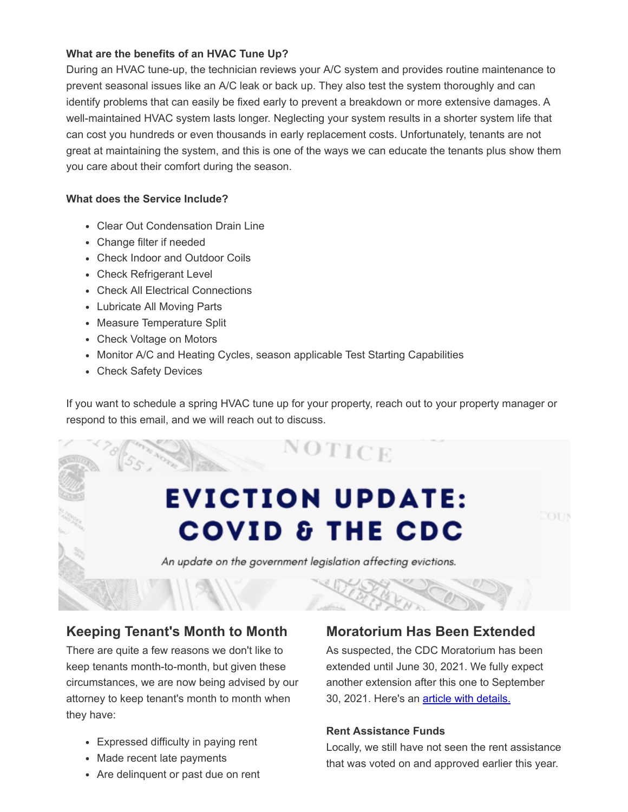#### **What are the benefits of an HVAC Tune Up?**

During an HVAC tune-up, the technician reviews your A/C system and provides routine maintenance to prevent seasonal issues like an A/C leak or back up. They also test the system thoroughly and can identify problems that can easily be fixed early to prevent a breakdown or more extensive damages. A well-maintained HVAC system lasts longer. Neglecting your system results in a shorter system life that can cost you hundreds or even thousands in early replacement costs. Unfortunately, tenants are not great at maintaining the system, and this is one of the ways we can educate the tenants plus show them you care about their comfort during the season.

#### **What does the Service Include?**

- Clear Out Condensation Drain Line
- Change filter if needed
- Check Indoor and Outdoor Coils
- Check Refrigerant Level
- Check All Electrical Connections
- Lubricate All Moving Parts
- Measure Temperature Split
- Check Voltage on Motors
- Monitor A/C and Heating Cycles, season applicable Test Starting Capabilities
- Check Safety Devices

If you want to schedule a spring HVAC tune up for your property, reach out to your property manager or respond to this email, and we will reach out to discuss.

# **EVICTION UPDATE:** COVID & THE CDC

NOTICE

An update on the government legislation affecting evictions.

# **Keeping Tenant's Month to Month**

There are quite a few reasons we don't like to keep tenants month-to-month, but given these circumstances, we are now being advised by our attorney to keep tenant's month to month when they have:

- Expressed difficulty in paying rent
- Made recent late payments
- Are delinquent or past due on rent

## **Moratorium Has Been Extended**

OU

As suspected, the CDC Moratorium has been extended until June 30, 2021. We fully expect another extension after this one to September 30, 2021. Here's an [article with details.](https://www.floridarealtors.org/news-media/news-articles/2021/03/cdc-extends-renter-eviction-ban-through-june?utm_campaign=3-30-2021+Florida+Realtors+News&utm_source=iPost&utm_medium=email)

#### **Rent Assistance Funds**

Locally, we still have not seen the rent assistance that was voted on and approved earlier this year.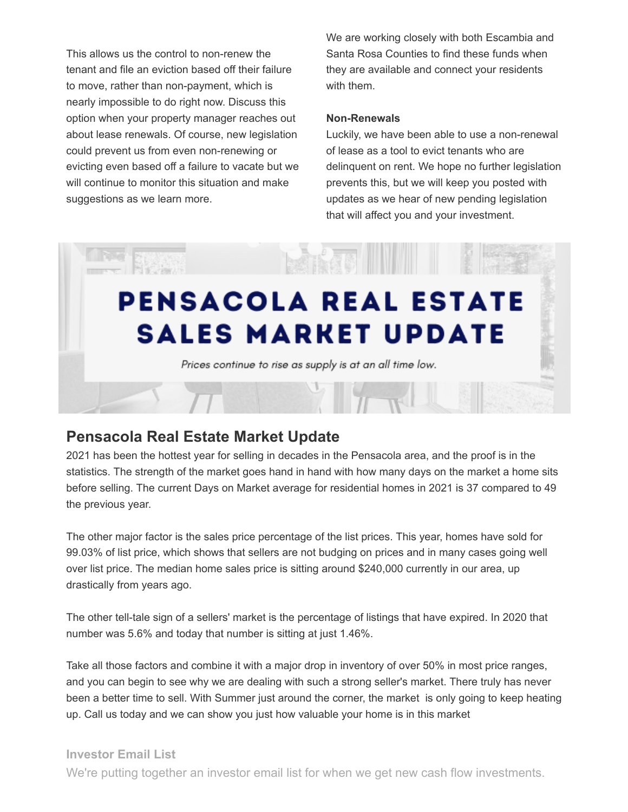This allows us the control to non-renew the tenant and file an eviction based off their failure to move, rather than non-payment, which is nearly impossible to do right now. Discuss this option when your property manager reaches out about lease renewals. Of course, new legislation could prevent us from even non-renewing or evicting even based off a failure to vacate but we will continue to monitor this situation and make suggestions as we learn more.

We are working closely with both Escambia and Santa Rosa Counties to find these funds when they are available and connect your residents with them.

#### **Non-Renewals**

Luckily, we have been able to use a non-renewal of lease as a tool to evict tenants who are delinquent on rent. We hope no further legislation prevents this, but we will keep you posted with updates as we hear of new pending legislation that will affect you and your investment.

# **PENSACOLA REAL ESTATE SALES MARKET UPDATE**

Prices continue to rise as supply is at an all time low.

## **Pensacola Real Estate Market Update**

2021 has been the hottest year for selling in decades in the Pensacola area, and the proof is in the statistics. The strength of the market goes hand in hand with how many days on the market a home sits before selling. The current Days on Market average for residential homes in 2021 is 37 compared to 49 the previous year.

The other major factor is the sales price percentage of the list prices. This year, homes have sold for 99.03% of list price, which shows that sellers are not budging on prices and in many cases going well over list price. The median home sales price is sitting around \$240,000 currently in our area, up drastically from years ago.

The other tell-tale sign of a sellers' market is the percentage of listings that have expired. In 2020 that number was 5.6% and today that number is sitting at just 1.46%.

Take all those factors and combine it with a major drop in inventory of over 50% in most price ranges, and you can begin to see why we are dealing with such a strong seller's market. There truly has never been a better time to sell. With Summer just around the corner, the market is only going to keep heating up. Call us today and we can show you just how valuable your home is in this market

#### **Investor Email List**

We're putting together an investor email list for when we get new cash flow investments.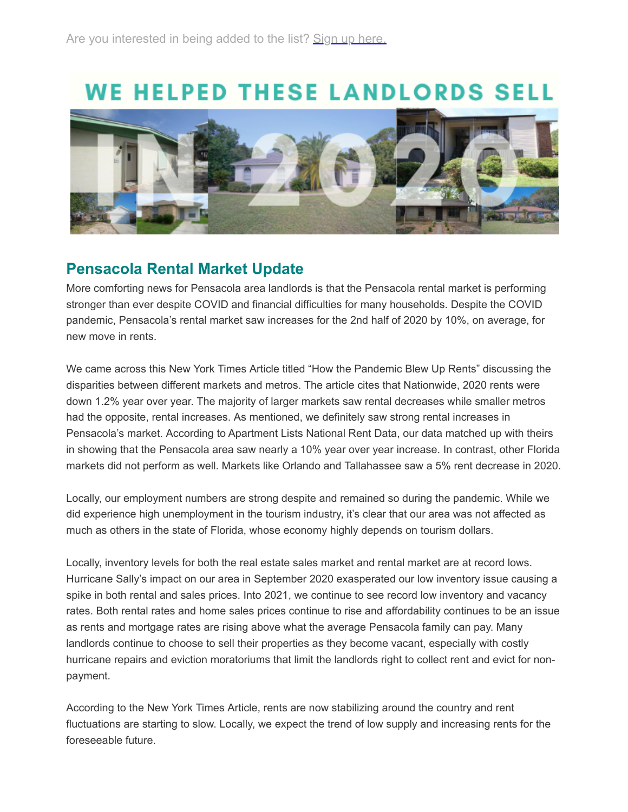# **WE HELPED THESE LANDLORDS SELL**



# **Pensacola Rental Market Update**

More comforting news for Pensacola area landlords is that the Pensacola rental market is performing stronger than ever despite COVID and financial difficulties for many households. Despite the COVID pandemic, Pensacola's rental market saw increases for the 2nd half of 2020 by 10%, on average, for new move in rents.

We came across this New York Times Article titled "How the Pandemic Blew Up Rents" discussing the disparities between different markets and metros. The article cites that Nationwide, 2020 rents were down 1.2% year over year. The majority of larger markets saw rental decreases while smaller metros had the opposite, rental increases. As mentioned, we definitely saw strong rental increases in Pensacola's market. According to Apartment Lists National Rent Data, our data matched up with theirs in showing that the Pensacola area saw nearly a 10% year over year increase. In contrast, other Florida markets did not perform as well. Markets like Orlando and Tallahassee saw a 5% rent decrease in 2020.

Locally, our employment numbers are strong despite and remained so during the pandemic. While we did experience high unemployment in the tourism industry, it's clear that our area was not affected as much as others in the state of Florida, whose economy highly depends on tourism dollars.

Locally, inventory levels for both the real estate sales market and rental market are at record lows. Hurricane Sally's impact on our area in September 2020 exasperated our low inventory issue causing a spike in both rental and sales prices. Into 2021, we continue to see record low inventory and vacancy rates. Both rental rates and home sales prices continue to rise and affordability continues to be an issue as rents and mortgage rates are rising above what the average Pensacola family can pay. Many landlords continue to choose to sell their properties as they become vacant, especially with costly hurricane repairs and eviction moratoriums that limit the landlords right to collect rent and evict for nonpayment.

According to the New York Times Article, rents are now stabilizing around the country and rent fluctuations are starting to slow. Locally, we expect the trend of low supply and increasing rents for the foreseeable future.